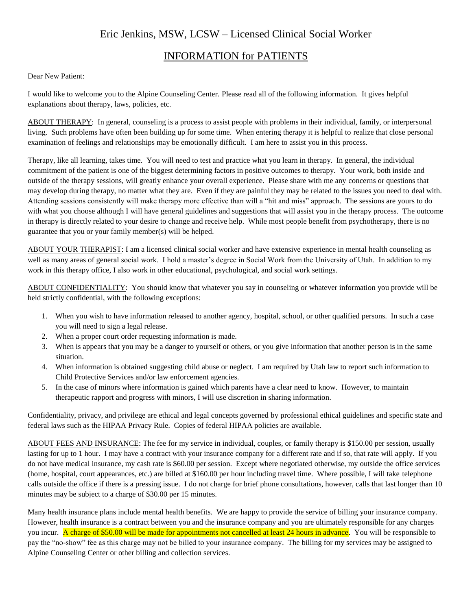# Eric Jenkins, MSW, LCSW – Licensed Clinical Social Worker

# INFORMATION for PATIENTS

### Dear New Patient:

I would like to welcome you to the Alpine Counseling Center. Please read all of the following information. It gives helpful explanations about therapy, laws, policies, etc.

ABOUT THERAPY: In general, counseling is a process to assist people with problems in their individual, family, or interpersonal living. Such problems have often been building up for some time. When entering therapy it is helpful to realize that close personal examination of feelings and relationships may be emotionally difficult. I am here to assist you in this process.

Therapy, like all learning, takes time. You will need to test and practice what you learn in therapy. In general, the individual commitment of the patient is one of the biggest determining factors in positive outcomes to therapy. Your work, both inside and outside of the therapy sessions, will greatly enhance your overall experience. Please share with me any concerns or questions that may develop during therapy, no matter what they are. Even if they are painful they may be related to the issues you need to deal with. Attending sessions consistently will make therapy more effective than will a "hit and miss" approach. The sessions are yours to do with what you choose although I will have general guidelines and suggestions that will assist you in the therapy process. The outcome in therapy is directly related to your desire to change and receive help. While most people benefit from psychotherapy, there is no guarantee that you or your family member(s) will be helped.

ABOUT YOUR THERAPIST: I am a licensed clinical social worker and have extensive experience in mental health counseling as well as many areas of general social work. I hold a master's degree in Social Work from the University of Utah. In addition to my work in this therapy office, I also work in other educational, psychological, and social work settings.

ABOUT CONFIDENTIALITY: You should know that whatever you say in counseling or whatever information you provide will be held strictly confidential, with the following exceptions:

- 1. When you wish to have information released to another agency, hospital, school, or other qualified persons. In such a case you will need to sign a legal release.
- 2. When a proper court order requesting information is made.
- 3. When is appears that you may be a danger to yourself or others, or you give information that another person is in the same situation.
- 4. When information is obtained suggesting child abuse or neglect. I am required by Utah law to report such information to Child Protective Services and/or law enforcement agencies.
- 5. In the case of minors where information is gained which parents have a clear need to know. However, to maintain therapeutic rapport and progress with minors, I will use discretion in sharing information.

Confidentiality, privacy, and privilege are ethical and legal concepts governed by professional ethical guidelines and specific state and federal laws such as the HIPAA Privacy Rule. Copies of federal HIPAA policies are available.

ABOUT FEES AND INSURANCE: The fee for my service in individual, couples, or family therapy is \$150.00 per session, usually lasting for up to 1 hour. I may have a contract with your insurance company for a different rate and if so, that rate will apply. If you do not have medical insurance, my cash rate is \$60.00 per session. Except where negotiated otherwise, my outside the office services (home, hospital, court appearances, etc.) are billed at \$160.00 per hour including travel time. Where possible, I will take telephone calls outside the office if there is a pressing issue. I do not charge for brief phone consultations, however, calls that last longer than 10 minutes may be subject to a charge of \$30.00 per 15 minutes.

Many health insurance plans include mental health benefits. We are happy to provide the service of billing your insurance company. However, health insurance is a contract between you and the insurance company and you are ultimately responsible for any charges you incur. A charge of \$50.00 will be made for appointments not cancelled at least 24 hours in advance. You will be responsible to pay the "no-show" fee as this charge may not be billed to your insurance company. The billing for my services may be assigned to Alpine Counseling Center or other billing and collection services.